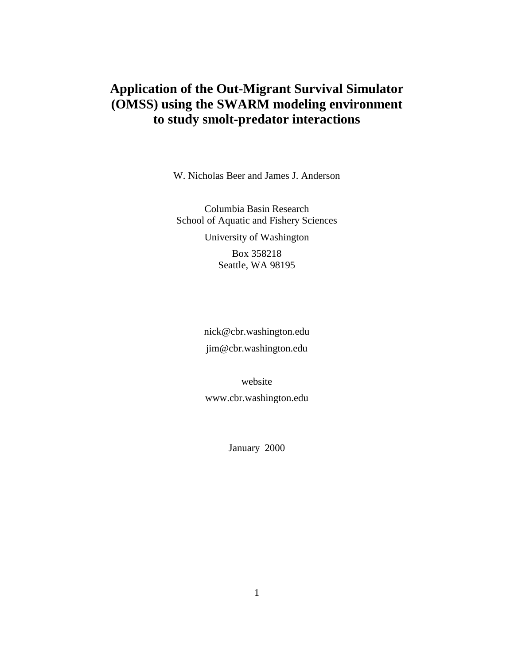# **Application of the Out-Migrant Survival Simulator (OMSS) using the SWARM modeling environment to study smolt-predator interactions**

W. Nicholas Beer and James J. Anderson

Columbia Basin Research School of Aquatic and Fishery Sciences University of Washington Box 358218 Seattle, WA 98195

> nick@cbr.washington.edu jim@cbr.washington.edu

website www.cbr.washington.edu

January 2000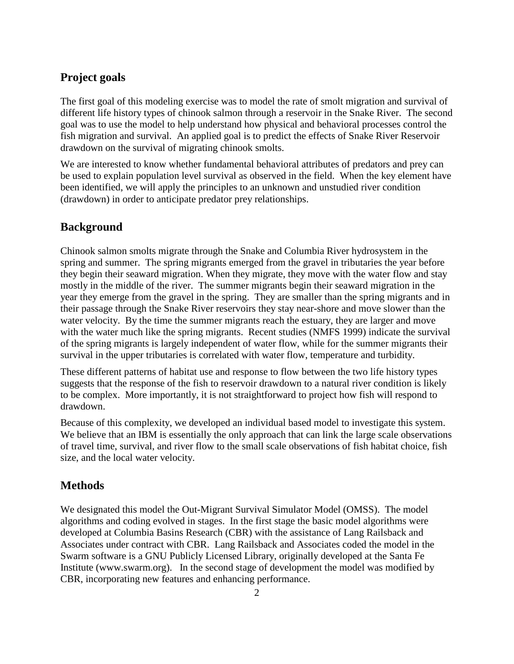# **Project goals**

The first goal of this modeling exercise was to model the rate of smolt migration and survival of different life history types of chinook salmon through a reservoir in the Snake River. The second goal was to use the model to help understand how physical and behavioral processes control the fish migration and survival. An applied goal is to predict the effects of Snake River Reservoir drawdown on the survival of migrating chinook smolts.

We are interested to know whether fundamental behavioral attributes of predators and prey can be used to explain population level survival as observed in the field. When the key element have been identified, we will apply the principles to an unknown and unstudied river condition (drawdown) in order to anticipate predator prey relationships.

## **Background**

Chinook salmon smolts migrate through the Snake and Columbia River hydrosystem in the spring and summer. The spring migrants emerged from the gravel in tributaries the year before they begin their seaward migration. When they migrate, they move with the water flow and stay mostly in the middle of the river. The summer migrants begin their seaward migration in the year they emerge from the gravel in the spring. They are smaller than the spring migrants and in their passage through the Snake River reservoirs they stay near-shore and move slower than the water velocity. By the time the summer migrants reach the estuary, they are larger and move with the water much like the spring migrants. Recent studies (NMFS 1999) indicate the survival of the spring migrants is largely independent of water flow, while for the summer migrants their survival in the upper tributaries is correlated with water flow, temperature and turbidity.

These different patterns of habitat use and response to flow between the two life history types suggests that the response of the fish to reservoir drawdown to a natural river condition is likely to be complex. More importantly, it is not straightforward to project how fish will respond to drawdown.

Because of this complexity, we developed an individual based model to investigate this system. We believe that an IBM is essentially the only approach that can link the large scale observations of travel time, survival, and river flow to the small scale observations of fish habitat choice, fish size, and the local water velocity.

### **Methods**

We designated this model the Out-Migrant Survival Simulator Model (OMSS). The model algorithms and coding evolved in stages. In the first stage the basic model algorithms were developed at Columbia Basins Research (CBR) with the assistance of Lang Railsback and Associates under contract with CBR. Lang Railsback and Associates coded the model in the Swarm software is a GNU Publicly Licensed Library, originally developed at the Santa Fe Institute (www.swarm.org). In the second stage of development the model was modified by CBR, incorporating new features and enhancing performance.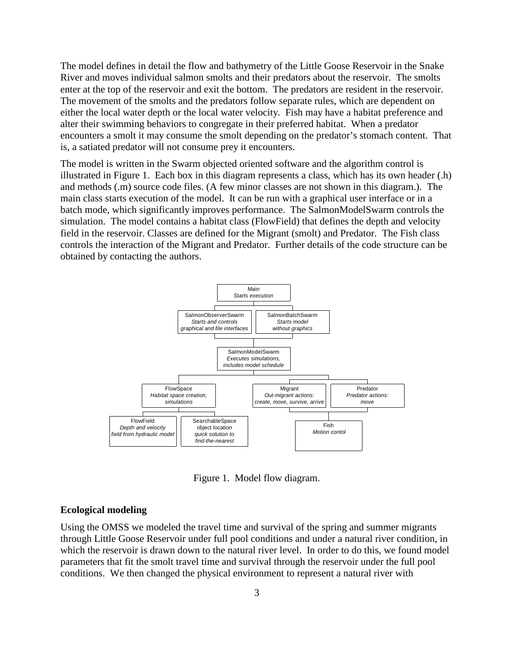The model defines in detail the flow and bathymetry of the Little Goose Reservoir in the Snake River and moves individual salmon smolts and their predators about the reservoir. The smolts enter at the top of the reservoir and exit the bottom. The predators are resident in the reservoir. The movement of the smolts and the predators follow separate rules, which are dependent on either the local water depth or the local water velocity. Fish may have a habitat preference and alter their swimming behaviors to congregate in their preferred habitat. When a predator encounters a smolt it may consume the smolt depending on the predator's stomach content. That is, a satiated predator will not consume prey it encounters.

The model is written in the Swarm objected oriented software and the algorithm control is illustrated in Figure 1. Each box in this diagram represents a class, which has its own header (.h) and methods (.m) source code files. (A few minor classes are not shown in this diagram.). The main class starts execution of the model. It can be run with a graphical user interface or in a batch mode, which significantly improves performance. The SalmonModelSwarm controls the simulation. The model contains a habitat class (FlowField) that defines the depth and velocity field in the reservoir. Classes are defined for the Migrant (smolt) and Predator. The Fish class controls the interaction of the Migrant and Predator. Further details of the code structure can be obtained by contacting the authors.



Figure 1. Model flow diagram.

#### **Ecological modeling**

Using the OMSS we modeled the travel time and survival of the spring and summer migrants through Little Goose Reservoir under full pool conditions and under a natural river condition, in which the reservoir is drawn down to the natural river level. In order to do this, we found model parameters that fit the smolt travel time and survival through the reservoir under the full pool conditions. We then changed the physical environment to represent a natural river with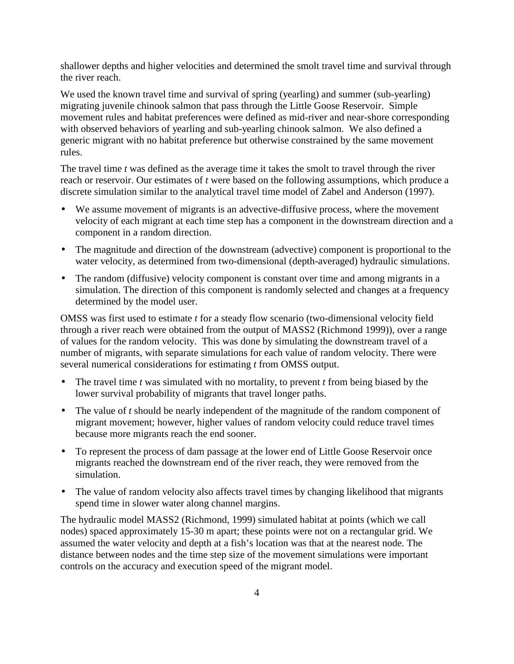shallower depths and higher velocities and determined the smolt travel time and survival through the river reach.

We used the known travel time and survival of spring (yearling) and summer (sub-yearling) migrating juvenile chinook salmon that pass through the Little Goose Reservoir. Simple movement rules and habitat preferences were defined as mid-river and near-shore corresponding with observed behaviors of yearling and sub-yearling chinook salmon. We also defined a generic migrant with no habitat preference but otherwise constrained by the same movement rules.

The travel time *t* was defined as the average time it takes the smolt to travel through the river reach or reservoir. Our estimates of *t* were based on the following assumptions, which produce a discrete simulation similar to the analytical travel time model of Zabel and Anderson (1997).

- We assume movement of migrants is an advective-diffusive process, where the movement velocity of each migrant at each time step has a component in the downstream direction and a component in a random direction.
- The magnitude and direction of the downstream (advective) component is proportional to the water velocity, as determined from two-dimensional (depth-averaged) hydraulic simulations.
- The random (diffusive) velocity component is constant over time and among migrants in a simulation. The direction of this component is randomly selected and changes at a frequency determined by the model user.

OMSS was first used to estimate *t* for a steady flow scenario (two-dimensional velocity field through a river reach were obtained from the output of MASS2 (Richmond 1999)), over a range of values for the random velocity. This was done by simulating the downstream travel of a number of migrants, with separate simulations for each value of random velocity. There were several numerical considerations for estimating *t* from OMSS output.

- The travel time *t* was simulated with no mortality, to prevent *t* from being biased by the lower survival probability of migrants that travel longer paths.
- The value of *t* should be nearly independent of the magnitude of the random component of migrant movement; however, higher values of random velocity could reduce travel times because more migrants reach the end sooner.
- To represent the process of dam passage at the lower end of Little Goose Reservoir once migrants reached the downstream end of the river reach, they were removed from the simulation.
- The value of random velocity also affects travel times by changing likelihood that migrants spend time in slower water along channel margins.

The hydraulic model MASS2 (Richmond, 1999) simulated habitat at points (which we call nodes) spaced approximately 15-30 m apart; these points were not on a rectangular grid. We assumed the water velocity and depth at a fish's location was that at the nearest node. The distance between nodes and the time step size of the movement simulations were important controls on the accuracy and execution speed of the migrant model.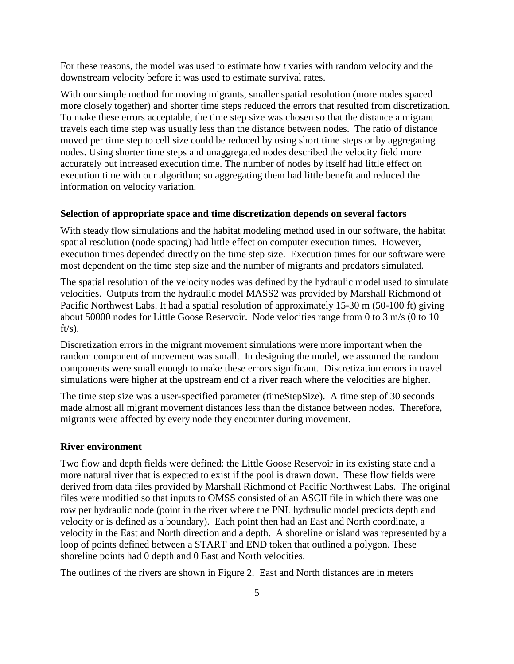For these reasons, the model was used to estimate how *t* varies with random velocity and the downstream velocity before it was used to estimate survival rates.

With our simple method for moving migrants, smaller spatial resolution (more nodes spaced more closely together) and shorter time steps reduced the errors that resulted from discretization. To make these errors acceptable, the time step size was chosen so that the distance a migrant travels each time step was usually less than the distance between nodes. The ratio of distance moved per time step to cell size could be reduced by using short time steps or by aggregating nodes. Using shorter time steps and unaggregated nodes described the velocity field more accurately but increased execution time. The number of nodes by itself had little effect on execution time with our algorithm; so aggregating them had little benefit and reduced the information on velocity variation.

#### **Selection of appropriate space and time discretization depends on several factors**

With steady flow simulations and the habitat modeling method used in our software, the habitat spatial resolution (node spacing) had little effect on computer execution times. However, execution times depended directly on the time step size. Execution times for our software were most dependent on the time step size and the number of migrants and predators simulated.

The spatial resolution of the velocity nodes was defined by the hydraulic model used to simulate velocities. Outputs from the hydraulic model MASS2 was provided by Marshall Richmond of Pacific Northwest Labs. It had a spatial resolution of approximately 15-30 m (50-100 ft) giving about 50000 nodes for Little Goose Reservoir. Node velocities range from 0 to 3 m/s (0 to 10  $ft/s)$ .

Discretization errors in the migrant movement simulations were more important when the random component of movement was small. In designing the model, we assumed the random components were small enough to make these errors significant. Discretization errors in travel simulations were higher at the upstream end of a river reach where the velocities are higher.

The time step size was a user-specified parameter (timeStepSize). A time step of 30 seconds made almost all migrant movement distances less than the distance between nodes. Therefore, migrants were affected by every node they encounter during movement.

#### **River environment**

Two flow and depth fields were defined: the Little Goose Reservoir in its existing state and a more natural river that is expected to exist if the pool is drawn down. These flow fields were derived from data files provided by Marshall Richmond of Pacific Northwest Labs. The original files were modified so that inputs to OMSS consisted of an ASCII file in which there was one row per hydraulic node (point in the river where the PNL hydraulic model predicts depth and velocity or is defined as a boundary). Each point then had an East and North coordinate, a velocity in the East and North direction and a depth. A shoreline or island was represented by a loop of points defined between a START and END token that outlined a polygon. These shoreline points had 0 depth and 0 East and North velocities.

The outlines of the rivers are shown in Figure 2. East and North distances are in meters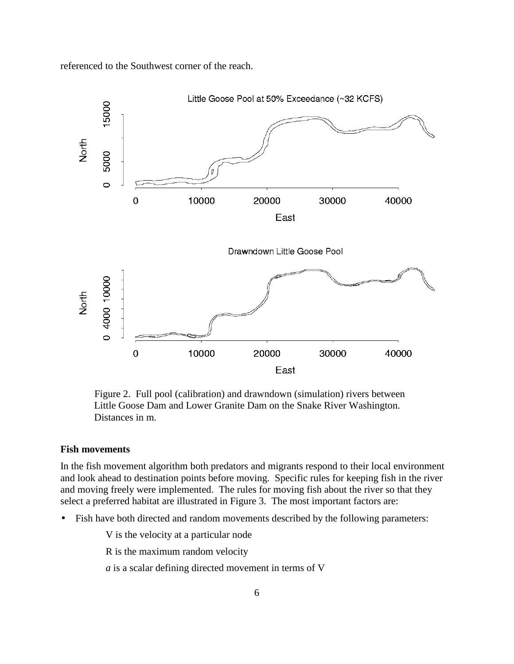referenced to the Southwest corner of the reach.



Figure 2. Full pool (calibration) and drawndown (simulation) rivers between Little Goose Dam and Lower Granite Dam on the Snake River Washington. Distances in m.

#### **Fish movements**

In the fish movement algorithm both predators and migrants respond to their local environment and look ahead to destination points before moving. Specific rules for keeping fish in the river and moving freely were implemented. The rules for moving fish about the river so that they select a preferred habitat are illustrated in Figure 3. The most important factors are:

Fish have both directed and random movements described by the following parameters:

V is the velocity at a particular node

R is the maximum random velocity

*a* is a scalar defining directed movement in terms of V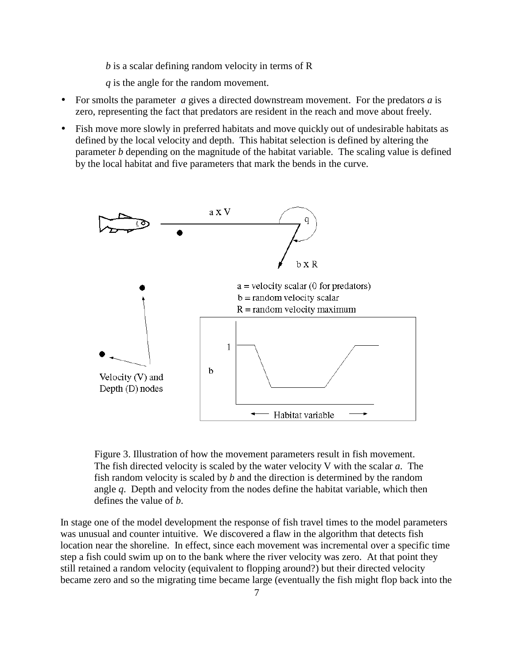*b* is a scalar defining random velocity in terms of R

*q* is the angle for the random movement.

- For smolts the parameter *a* gives a directed downstream movement. For the predators *a* is zero, representing the fact that predators are resident in the reach and move about freely.
- Fish move more slowly in preferred habitats and move quickly out of undesirable habitats as defined by the local velocity and depth. This habitat selection is defined by altering the parameter *b* depending on the magnitude of the habitat variable. The scaling value is defined by the local habitat and five parameters that mark the bends in the curve.



Figure 3. Illustration of how the movement parameters result in fish movement. The fish directed velocity is scaled by the water velocity V with the scalar *a*. The fish random velocity is scaled by *b* and the direction is determined by the random angle *q*. Depth and velocity from the nodes define the habitat variable, which then defines the value of *b*.

In stage one of the model development the response of fish travel times to the model parameters was unusual and counter intuitive. We discovered a flaw in the algorithm that detects fish location near the shoreline. In effect, since each movement was incremental over a specific time step a fish could swim up on to the bank where the river velocity was zero. At that point they still retained a random velocity (equivalent to flopping around?) but their directed velocity became zero and so the migrating time became large (eventually the fish might flop back into the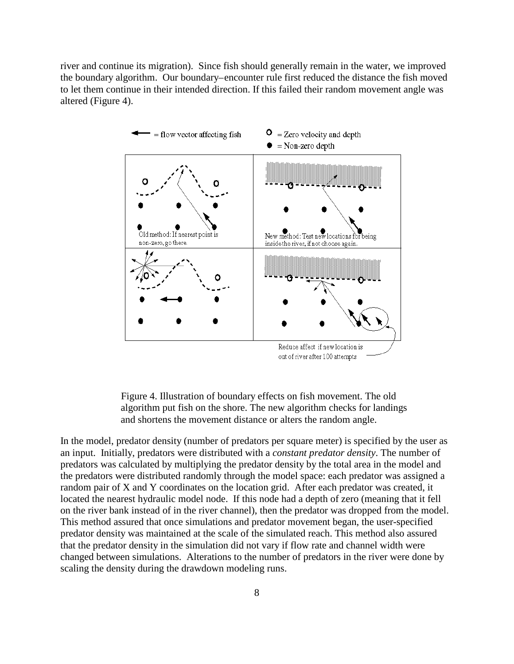river and continue its migration). Since fish should generally remain in the water, we improved the boundary algorithm. Our boundary–encounter rule first reduced the distance the fish moved to let them continue in their intended direction. If this failed their random movement angle was altered (Figure 4).



Figure 4. Illustration of boundary effects on fish movement. The old algorithm put fish on the shore. The new algorithm checks for landings and shortens the movement distance or alters the random angle.

In the model, predator density (number of predators per square meter) is specified by the user as an input. Initially, predators were distributed with a *constant predator density*. The number of predators was calculated by multiplying the predator density by the total area in the model and the predators were distributed randomly through the model space: each predator was assigned a random pair of X and Y coordinates on the location grid. After each predator was created, it located the nearest hydraulic model node. If this node had a depth of zero (meaning that it fell on the river bank instead of in the river channel), then the predator was dropped from the model. This method assured that once simulations and predator movement began, the user-specified predator density was maintained at the scale of the simulated reach. This method also assured that the predator density in the simulation did not vary if flow rate and channel width were changed between simulations. Alterations to the number of predators in the river were done by scaling the density during the drawdown modeling runs.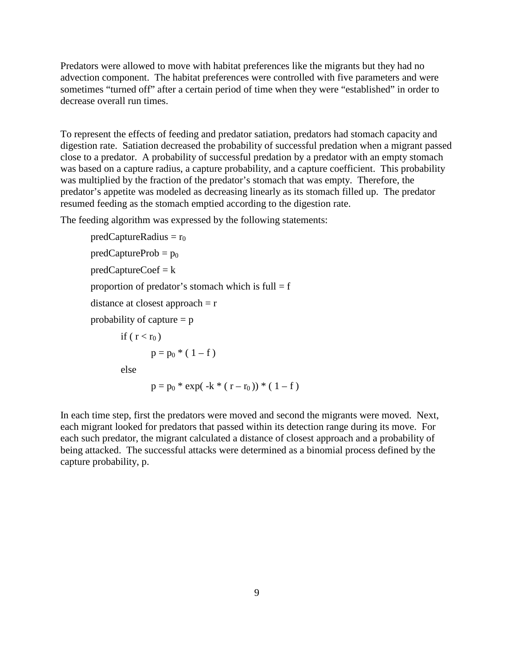Predators were allowed to move with habitat preferences like the migrants but they had no advection component. The habitat preferences were controlled with five parameters and were sometimes "turned off" after a certain period of time when they were "established" in order to decrease overall run times.

To represent the effects of feeding and predator satiation, predators had stomach capacity and digestion rate. Satiation decreased the probability of successful predation when a migrant passed close to a predator. A probability of successful predation by a predator with an empty stomach was based on a capture radius, a capture probability, and a capture coefficient. This probability was multiplied by the fraction of the predator's stomach that was empty. Therefore, the predator's appetite was modeled as decreasing linearly as its stomach filled up. The predator resumed feeding as the stomach emptied according to the digestion rate.

The feeding algorithm was expressed by the following statements:

 $predCaptureRadius = r_0$  $predCaptureProb = p_0$  $predCaptureCoef = k$ proportion of predator's stomach which is full  $= f$ distance at closest approach  $=r$ probability of capture  $= p$ if (  $r < r_0$  )  $p = p_0$  \* (1-f) else  $p = p_0 * exp(-k * (r - r_0)) * (1 - f)$ 

In each time step, first the predators were moved and second the migrants were moved. Next, each migrant looked for predators that passed within its detection range during its move. For each such predator, the migrant calculated a distance of closest approach and a probability of being attacked. The successful attacks were determined as a binomial process defined by the capture probability, p.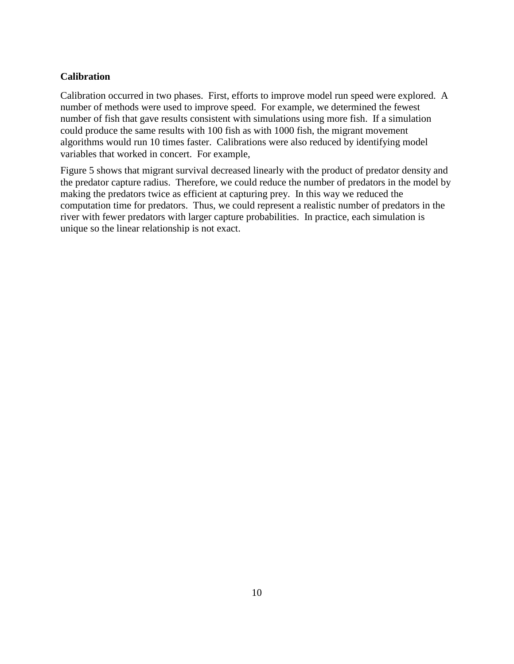### **Calibration**

Calibration occurred in two phases. First, efforts to improve model run speed were explored. A number of methods were used to improve speed. For example, we determined the fewest number of fish that gave results consistent with simulations using more fish. If a simulation could produce the same results with 100 fish as with 1000 fish, the migrant movement algorithms would run 10 times faster. Calibrations were also reduced by identifying model variables that worked in concert. For example,

Figure 5 shows that migrant survival decreased linearly with the product of predator density and the predator capture radius. Therefore, we could reduce the number of predators in the model by making the predators twice as efficient at capturing prey. In this way we reduced the computation time for predators. Thus, we could represent a realistic number of predators in the river with fewer predators with larger capture probabilities. In practice, each simulation is unique so the linear relationship is not exact.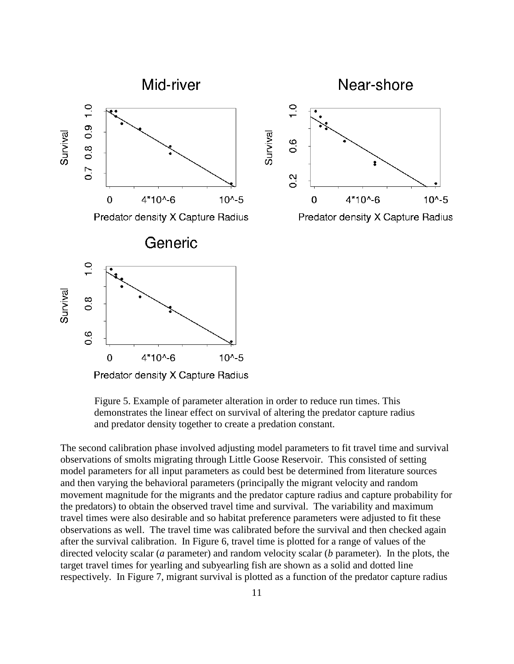

Predator density X Capture Radius

Figure 5. Example of parameter alteration in order to reduce run times. This demonstrates the linear effect on survival of altering the predator capture radius and predator density together to create a predation constant.

The second calibration phase involved adjusting model parameters to fit travel time and survival observations of smolts migrating through Little Goose Reservoir. This consisted of setting model parameters for all input parameters as could best be determined from literature sources and then varying the behavioral parameters (principally the migrant velocity and random movement magnitude for the migrants and the predator capture radius and capture probability for the predators) to obtain the observed travel time and survival. The variability and maximum travel times were also desirable and so habitat preference parameters were adjusted to fit these observations as well. The travel time was calibrated before the survival and then checked again after the survival calibration. In Figure 6, travel time is plotted for a range of values of the directed velocity scalar (*a* parameter) and random velocity scalar (*b* parameter). In the plots, the target travel times for yearling and subyearling fish are shown as a solid and dotted line respectively. In Figure 7, migrant survival is plotted as a function of the predator capture radius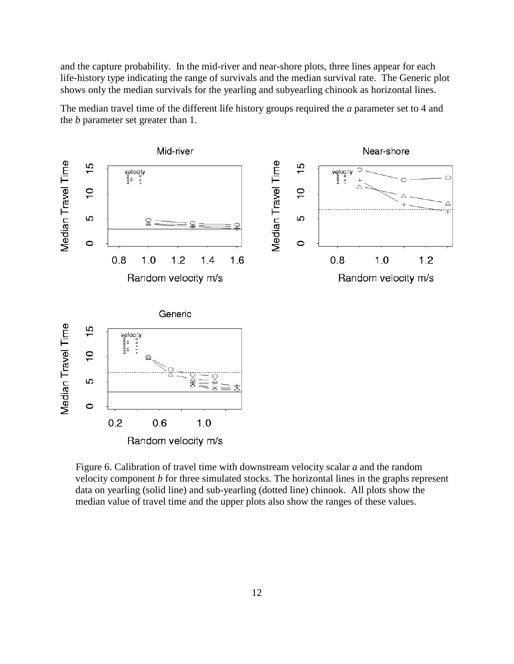and the capture probability. In the mid-river and near-shore plots, three lines appear for each life-history type indicating the range of survivals and the median survival rate. The Generic plot shows only the median survivals for the yearling and subyearling chinook as horizontal lines.

The median travel time of the different life history groups required the *a* parameter set to 4 and the *b* parameter set greater than 1.



Figure 6. Calibration of travel time with downstream velocity scalar *a* and the random velocity component *b* for three simulated stocks. The horizontal lines in the graphs represent data on yearling (solid line) and sub-yearling (dotted line) chinook. All plots show the median value of travel time and the upper plots also show the ranges of these values.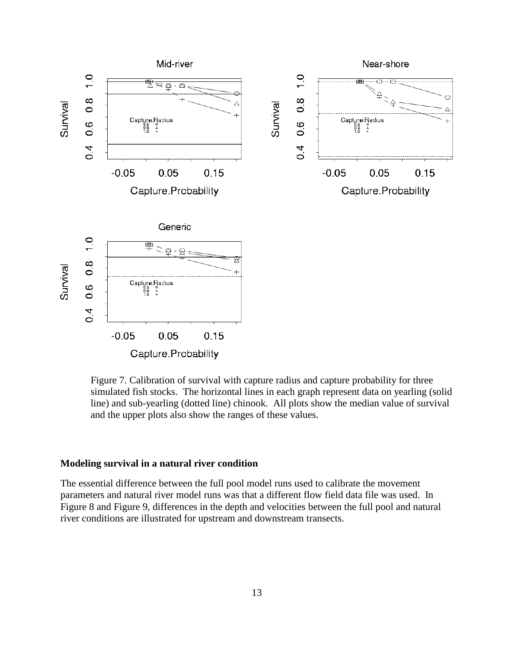

Figure 7. Calibration of survival with capture radius and capture probability for three simulated fish stocks. The horizontal lines in each graph represent data on yearling (solid line) and sub-yearling (dotted line) chinook. All plots show the median value of survival and the upper plots also show the ranges of these values.

### **Modeling survival in a natural river condition**

The essential difference between the full pool model runs used to calibrate the movement parameters and natural river model runs was that a different flow field data file was used. In Figure 8 and Figure 9, differences in the depth and velocities between the full pool and natural river conditions are illustrated for upstream and downstream transects.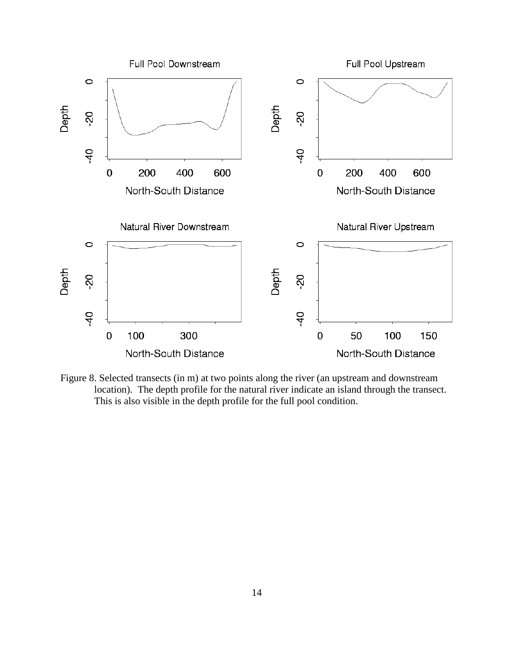

Figure 8. Selected transects (in m) at two points along the river (an upstream and downstream location). The depth profile for the natural river indicate an island through the transect. This is also visible in the depth profile for the full pool condition.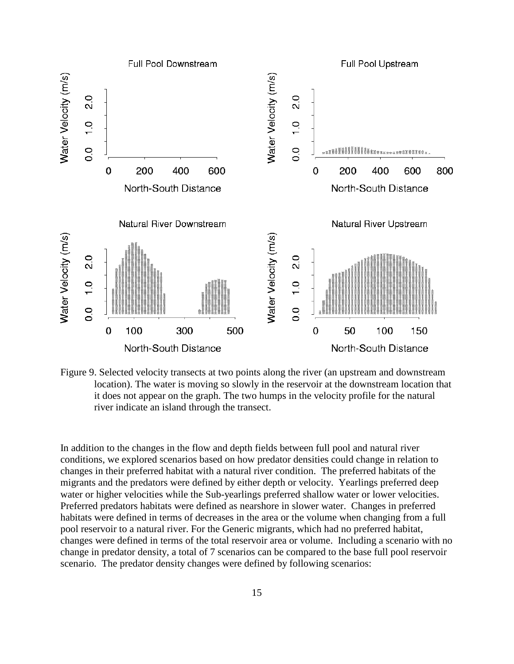

Figure 9. Selected velocity transects at two points along the river (an upstream and downstream location). The water is moving so slowly in the reservoir at the downstream location that it does not appear on the graph. The two humps in the velocity profile for the natural river indicate an island through the transect.

In addition to the changes in the flow and depth fields between full pool and natural river conditions, we explored scenarios based on how predator densities could change in relation to changes in their preferred habitat with a natural river condition. The preferred habitats of the migrants and the predators were defined by either depth or velocity. Yearlings preferred deep water or higher velocities while the Sub-yearlings preferred shallow water or lower velocities. Preferred predators habitats were defined as nearshore in slower water. Changes in preferred habitats were defined in terms of decreases in the area or the volume when changing from a full pool reservoir to a natural river. For the Generic migrants, which had no preferred habitat, changes were defined in terms of the total reservoir area or volume. Including a scenario with no change in predator density, a total of 7 scenarios can be compared to the base full pool reservoir scenario. The predator density changes were defined by following scenarios: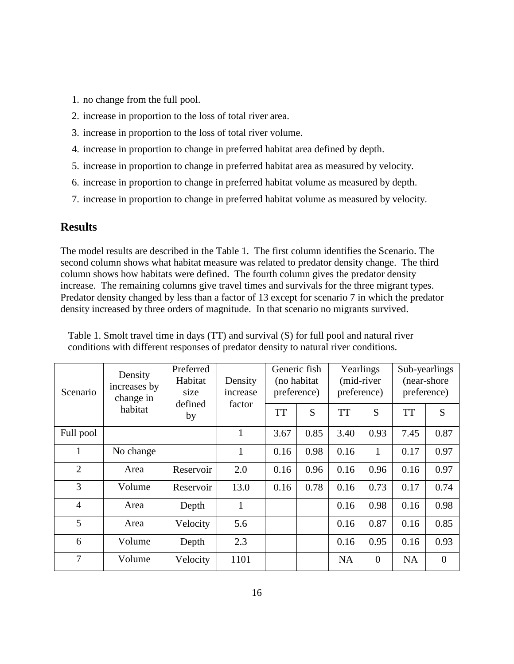- 1. no change from the full pool.
- 2. increase in proportion to the loss of total river area.
- 3. increase in proportion to the loss of total river volume.
- 4. increase in proportion to change in preferred habitat area defined by depth.
- 5. increase in proportion to change in preferred habitat area as measured by velocity.
- 6. increase in proportion to change in preferred habitat volume as measured by depth.
- 7. increase in proportion to change in preferred habitat volume as measured by velocity.

# **Results**

The model results are described in the Table 1. The first column identifies the Scenario. The second column shows what habitat measure was related to predator density change. The third column shows how habitats were defined. The fourth column gives the predator density increase. The remaining columns give travel times and survivals for the three migrant types. Predator density changed by less than a factor of 13 except for scenario 7 in which the predator density increased by three orders of magnitude. In that scenario no migrants survived.

| Scenario       | Density<br>increases by<br>change in<br>habitat | Preferred<br>Habitat<br>size<br>defined<br>by | Density<br>increase<br>factor | preference)<br><b>TT</b> | Generic fish<br>(no habitat<br>S | preference)<br><b>TT</b> | Yearlings<br>(mid-river<br>S | Sub-yearlings<br>preference)<br><b>TT</b> | (near-shore)<br>S |
|----------------|-------------------------------------------------|-----------------------------------------------|-------------------------------|--------------------------|----------------------------------|--------------------------|------------------------------|-------------------------------------------|-------------------|
| Full pool      |                                                 |                                               | 1                             | 3.67                     | 0.85                             | 3.40                     | 0.93                         | 7.45                                      | 0.87              |
|                |                                                 |                                               |                               |                          |                                  |                          |                              |                                           |                   |
| 1              | No change                                       |                                               | $\mathbf{1}$                  | 0.16                     | 0.98                             | 0.16                     | $\mathbf{1}$                 | 0.17                                      | 0.97              |
| $\overline{2}$ | Area                                            | Reservoir                                     | 2.0                           | 0.16                     | 0.96                             | 0.16                     | 0.96                         | 0.16                                      | 0.97              |
| 3              | Volume                                          | Reservoir                                     | 13.0                          | 0.16                     | 0.78                             | 0.16                     | 0.73                         | 0.17                                      | 0.74              |
| $\overline{4}$ | Area                                            | Depth                                         | $\mathbf{1}$                  |                          |                                  | 0.16                     | 0.98                         | 0.16                                      | 0.98              |
| 5              | Area                                            | Velocity                                      | 5.6                           |                          |                                  | 0.16                     | 0.87                         | 0.16                                      | 0.85              |
| 6              | Volume                                          | Depth                                         | 2.3                           |                          |                                  | 0.16                     | 0.95                         | 0.16                                      | 0.93              |
| 7              | Volume                                          | Velocity                                      | 1101                          |                          |                                  | <b>NA</b>                | $\mathbf{0}$                 | <b>NA</b>                                 | $\overline{0}$    |

Table 1. Smolt travel time in days (TT) and survival (S) for full pool and natural river conditions with different responses of predator density to natural river conditions.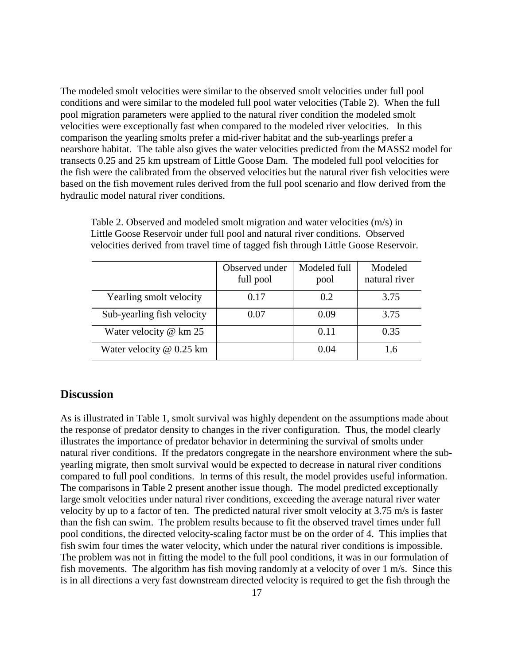The modeled smolt velocities were similar to the observed smolt velocities under full pool conditions and were similar to the modeled full pool water velocities (Table 2). When the full pool migration parameters were applied to the natural river condition the modeled smolt velocities were exceptionally fast when compared to the modeled river velocities. In this comparison the yearling smolts prefer a mid-river habitat and the sub-yearlings prefer a nearshore habitat. The table also gives the water velocities predicted from the MASS2 model for transects 0.25 and 25 km upstream of Little Goose Dam. The modeled full pool velocities for the fish were the calibrated from the observed velocities but the natural river fish velocities were based on the fish movement rules derived from the full pool scenario and flow derived from the hydraulic model natural river conditions.

|                            | Observed under<br>full pool | Modeled full<br>pool | Modeled<br>natural river |
|----------------------------|-----------------------------|----------------------|--------------------------|
| Yearling smolt velocity    | 0.17                        | 0.2                  | 3.75                     |
| Sub-yearling fish velocity | 0.07                        | 0.09                 | 3.75                     |
| Water velocity $@$ km 25   |                             | 0.11                 | 0.35                     |
| Water velocity @ 0.25 km   |                             | (1.04)               | 1.6                      |

Table 2. Observed and modeled smolt migration and water velocities (m/s) in Little Goose Reservoir under full pool and natural river conditions. Observed velocities derived from travel time of tagged fish through Little Goose Reservoir.

# **Discussion**

As is illustrated in Table 1, smolt survival was highly dependent on the assumptions made about the response of predator density to changes in the river configuration. Thus, the model clearly illustrates the importance of predator behavior in determining the survival of smolts under natural river conditions. If the predators congregate in the nearshore environment where the subyearling migrate, then smolt survival would be expected to decrease in natural river conditions compared to full pool conditions. In terms of this result, the model provides useful information. The comparisons in Table 2 present another issue though. The model predicted exceptionally large smolt velocities under natural river conditions, exceeding the average natural river water velocity by up to a factor of ten. The predicted natural river smolt velocity at 3.75 m/s is faster than the fish can swim. The problem results because to fit the observed travel times under full pool conditions, the directed velocity-scaling factor must be on the order of 4. This implies that fish swim four times the water velocity, which under the natural river conditions is impossible. The problem was not in fitting the model to the full pool conditions, it was in our formulation of fish movements. The algorithm has fish moving randomly at a velocity of over 1 m/s. Since this is in all directions a very fast downstream directed velocity is required to get the fish through the